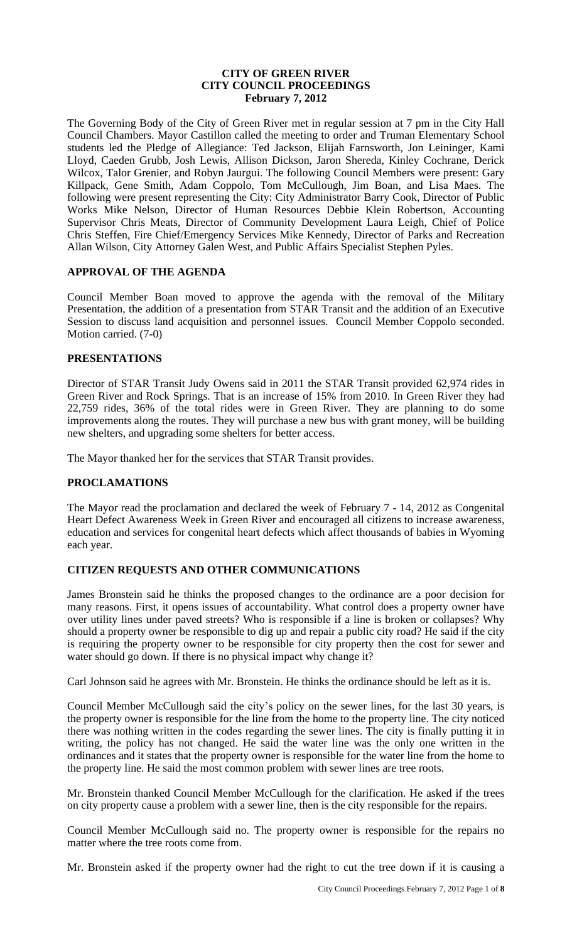## **CITY OF GREEN RIVER CITY COUNCIL PROCEEDINGS February 7, 2012**

The Governing Body of the City of Green River met in regular session at 7 pm in the City Hall Council Chambers. Mayor Castillon called the meeting to order and Truman Elementary School students led the Pledge of Allegiance: Ted Jackson, Elijah Farnsworth, Jon Leininger, Kami Lloyd, Caeden Grubb, Josh Lewis, Allison Dickson, Jaron Shereda, Kinley Cochrane, Derick Wilcox, Talor Grenier, and Robyn Jaurgui. The following Council Members were present: Gary Killpack, Gene Smith, Adam Coppolo, Tom McCullough, Jim Boan, and Lisa Maes. The following were present representing the City: City Administrator Barry Cook, Director of Public Works Mike Nelson, Director of Human Resources Debbie Klein Robertson, Accounting Supervisor Chris Meats, Director of Community Development Laura Leigh, Chief of Police Chris Steffen, Fire Chief/Emergency Services Mike Kennedy, Director of Parks and Recreation Allan Wilson, City Attorney Galen West, and Public Affairs Specialist Stephen Pyles.

### **APPROVAL OF THE AGENDA**

Council Member Boan moved to approve the agenda with the removal of the Military Presentation, the addition of a presentation from STAR Transit and the addition of an Executive Session to discuss land acquisition and personnel issues. Council Member Coppolo seconded. Motion carried. (7-0)

### **PRESENTATIONS**

Director of STAR Transit Judy Owens said in 2011 the STAR Transit provided 62,974 rides in Green River and Rock Springs. That is an increase of 15% from 2010. In Green River they had 22,759 rides, 36% of the total rides were in Green River. They are planning to do some improvements along the routes. They will purchase a new bus with grant money, will be building new shelters, and upgrading some shelters for better access.

The Mayor thanked her for the services that STAR Transit provides.

# **PROCLAMATIONS**

The Mayor read the proclamation and declared the week of February 7 - 14, 2012 as Congenital Heart Defect Awareness Week in Green River and encouraged all citizens to increase awareness, education and services for congenital heart defects which affect thousands of babies in Wyoming each year.

# **CITIZEN REQUESTS AND OTHER COMMUNICATIONS**

James Bronstein said he thinks the proposed changes to the ordinance are a poor decision for many reasons. First, it opens issues of accountability. What control does a property owner have over utility lines under paved streets? Who is responsible if a line is broken or collapses? Why should a property owner be responsible to dig up and repair a public city road? He said if the city is requiring the property owner to be responsible for city property then the cost for sewer and water should go down. If there is no physical impact why change it?

Carl Johnson said he agrees with Mr. Bronstein. He thinks the ordinance should be left as it is.

Council Member McCullough said the city's policy on the sewer lines, for the last 30 years, is the property owner is responsible for the line from the home to the property line. The city noticed there was nothing written in the codes regarding the sewer lines. The city is finally putting it in writing, the policy has not changed. He said the water line was the only one written in the ordinances and it states that the property owner is responsible for the water line from the home to the property line. He said the most common problem with sewer lines are tree roots.

Mr. Bronstein thanked Council Member McCullough for the clarification. He asked if the trees on city property cause a problem with a sewer line, then is the city responsible for the repairs.

Council Member McCullough said no. The property owner is responsible for the repairs no matter where the tree roots come from.

Mr. Bronstein asked if the property owner had the right to cut the tree down if it is causing a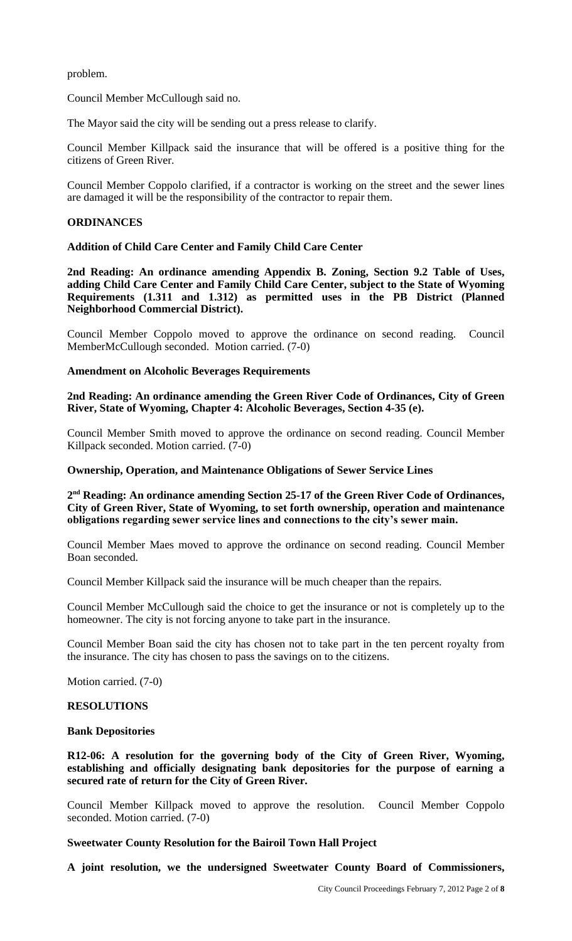problem.

Council Member McCullough said no.

The Mayor said the city will be sending out a press release to clarify.

Council Member Killpack said the insurance that will be offered is a positive thing for the citizens of Green River.

Council Member Coppolo clarified, if a contractor is working on the street and the sewer lines are damaged it will be the responsibility of the contractor to repair them.

### **ORDINANCES**

**Addition of Child Care Center and Family Child Care Center** 

**2nd Reading: An ordinance amending Appendix B. Zoning, Section 9.2 Table of Uses, adding Child Care Center and Family Child Care Center, subject to the State of Wyoming Requirements (1.311 and 1.312) as permitted uses in the PB District (Planned Neighborhood Commercial District).** 

Council Member Coppolo moved to approve the ordinance on second reading. Council MemberMcCullough seconded. Motion carried. (7-0)

### **Amendment on Alcoholic Beverages Requirements**

**2nd Reading: An ordinance amending the Green River Code of Ordinances, City of Green River, State of Wyoming, Chapter 4: Alcoholic Beverages, Section 4-35 (e).**

Council Member Smith moved to approve the ordinance on second reading. Council Member Killpack seconded. Motion carried. (7-0)

### **Ownership, Operation, and Maintenance Obligations of Sewer Service Lines**

**2 nd Reading: An ordinance amending Section 25-17 of the Green River Code of Ordinances, City of Green River, State of Wyoming, to set forth ownership, operation and maintenance obligations regarding sewer service lines and connections to the city's sewer main.**

Council Member Maes moved to approve the ordinance on second reading. Council Member Boan seconded.

Council Member Killpack said the insurance will be much cheaper than the repairs.

Council Member McCullough said the choice to get the insurance or not is completely up to the homeowner. The city is not forcing anyone to take part in the insurance.

Council Member Boan said the city has chosen not to take part in the ten percent royalty from the insurance. The city has chosen to pass the savings on to the citizens.

Motion carried. (7-0)

### **RESOLUTIONS**

### **Bank Depositories**

**R12-06: A resolution for the governing body of the City of Green River, Wyoming, establishing and officially designating bank depositories for the purpose of earning a secured rate of return for the City of Green River.** 

Council Member Killpack moved to approve the resolution. Council Member Coppolo seconded. Motion carried. (7-0)

### **Sweetwater County Resolution for the Bairoil Town Hall Project**

**A joint resolution, we the undersigned Sweetwater County Board of Commissioners,**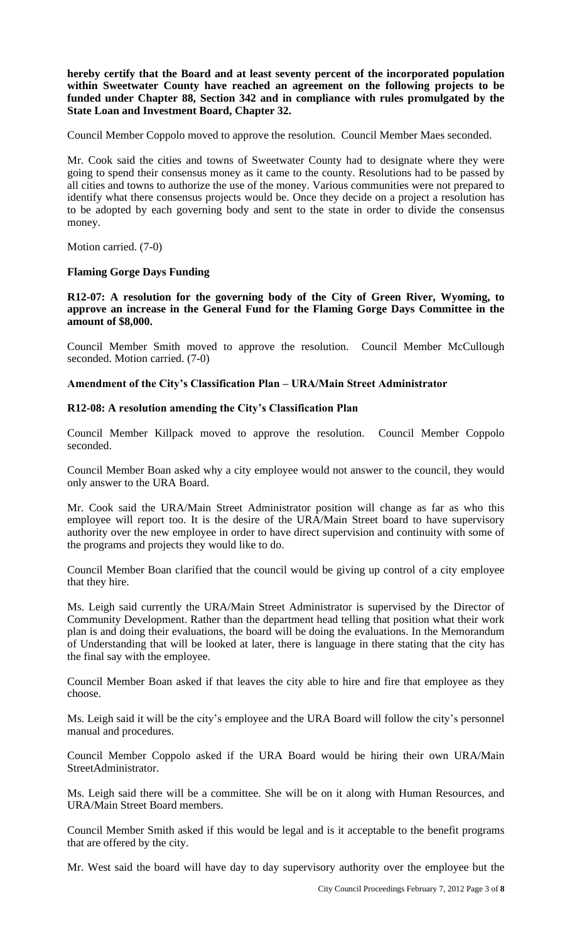**hereby certify that the Board and at least seventy percent of the incorporated population within Sweetwater County have reached an agreement on the following projects to be funded under Chapter 88, Section 342 and in compliance with rules promulgated by the State Loan and Investment Board, Chapter 32.** 

Council Member Coppolo moved to approve the resolution. Council Member Maes seconded.

Mr. Cook said the cities and towns of Sweetwater County had to designate where they were going to spend their consensus money as it came to the county. Resolutions had to be passed by all cities and towns to authorize the use of the money. Various communities were not prepared to identify what there consensus projects would be. Once they decide on a project a resolution has to be adopted by each governing body and sent to the state in order to divide the consensus money.

Motion carried. (7-0)

### **Flaming Gorge Days Funding**

**R12-07: A resolution for the governing body of the City of Green River, Wyoming, to approve an increase in the General Fund for the Flaming Gorge Days Committee in the amount of \$8,000.**

Council Member Smith moved to approve the resolution. Council Member McCullough seconded. Motion carried. (7-0)

## **Amendment of the City's Classification Plan – URA/Main Street Administrator**

## **R12-08: A resolution amending the City's Classification Plan**

Council Member Killpack moved to approve the resolution. Council Member Coppolo seconded.

Council Member Boan asked why a city employee would not answer to the council, they would only answer to the URA Board.

Mr. Cook said the URA/Main Street Administrator position will change as far as who this employee will report too. It is the desire of the URA/Main Street board to have supervisory authority over the new employee in order to have direct supervision and continuity with some of the programs and projects they would like to do.

Council Member Boan clarified that the council would be giving up control of a city employee that they hire.

Ms. Leigh said currently the URA/Main Street Administrator is supervised by the Director of Community Development. Rather than the department head telling that position what their work plan is and doing their evaluations, the board will be doing the evaluations. In the Memorandum of Understanding that will be looked at later, there is language in there stating that the city has the final say with the employee.

Council Member Boan asked if that leaves the city able to hire and fire that employee as they choose.

Ms. Leigh said it will be the city's employee and the URA Board will follow the city's personnel manual and procedures.

Council Member Coppolo asked if the URA Board would be hiring their own URA/Main StreetAdministrator.

Ms. Leigh said there will be a committee. She will be on it along with Human Resources, and URA/Main Street Board members.

Council Member Smith asked if this would be legal and is it acceptable to the benefit programs that are offered by the city.

Mr. West said the board will have day to day supervisory authority over the employee but the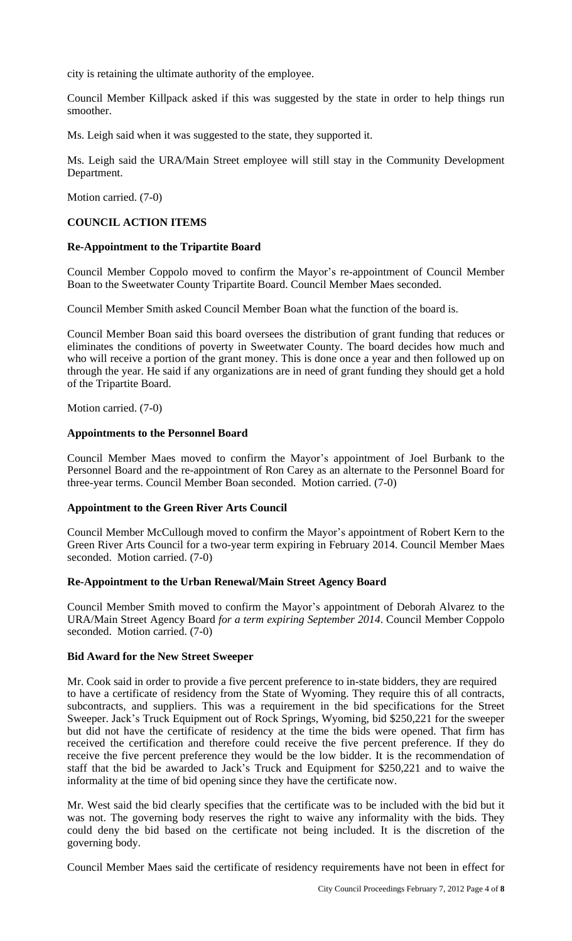city is retaining the ultimate authority of the employee.

Council Member Killpack asked if this was suggested by the state in order to help things run smoother.

Ms. Leigh said when it was suggested to the state, they supported it.

Ms. Leigh said the URA/Main Street employee will still stay in the Community Development Department.

Motion carried. (7-0)

## **COUNCIL ACTION ITEMS**

### **Re-Appointment to the Tripartite Board**

Council Member Coppolo moved to confirm the Mayor's re-appointment of Council Member Boan to the Sweetwater County Tripartite Board. Council Member Maes seconded.

Council Member Smith asked Council Member Boan what the function of the board is.

Council Member Boan said this board oversees the distribution of grant funding that reduces or eliminates the conditions of poverty in Sweetwater County. The board decides how much and who will receive a portion of the grant money. This is done once a year and then followed up on through the year. He said if any organizations are in need of grant funding they should get a hold of the Tripartite Board.

Motion carried. (7-0)

### **Appointments to the Personnel Board**

Council Member Maes moved to confirm the Mayor's appointment of Joel Burbank to the Personnel Board and the re-appointment of Ron Carey as an alternate to the Personnel Board for three-year terms. Council Member Boan seconded. Motion carried. (7-0)

### **Appointment to the Green River Arts Council**

Council Member McCullough moved to confirm the Mayor's appointment of Robert Kern to the Green River Arts Council for a two-year term expiring in February 2014. Council Member Maes seconded. Motion carried. (7-0)

### **Re-Appointment to the Urban Renewal/Main Street Agency Board**

Council Member Smith moved to confirm the Mayor's appointment of Deborah Alvarez to the URA/Main Street Agency Board *for a term expiring September 2014*. Council Member Coppolo seconded. Motion carried. (7-0)

### **Bid Award for the New Street Sweeper**

Mr. Cook said in order to provide a five percent preference to in-state bidders, they are required to have a certificate of residency from the State of Wyoming. They require this of all contracts, subcontracts, and suppliers. This was a requirement in the bid specifications for the Street Sweeper. Jack's Truck Equipment out of Rock Springs, Wyoming, bid \$250,221 for the sweeper but did not have the certificate of residency at the time the bids were opened. That firm has received the certification and therefore could receive the five percent preference. If they do receive the five percent preference they would be the low bidder. It is the recommendation of staff that the bid be awarded to Jack's Truck and Equipment for \$250,221 and to waive the informality at the time of bid opening since they have the certificate now.

Mr. West said the bid clearly specifies that the certificate was to be included with the bid but it was not. The governing body reserves the right to waive any informality with the bids. They could deny the bid based on the certificate not being included. It is the discretion of the governing body.

Council Member Maes said the certificate of residency requirements have not been in effect for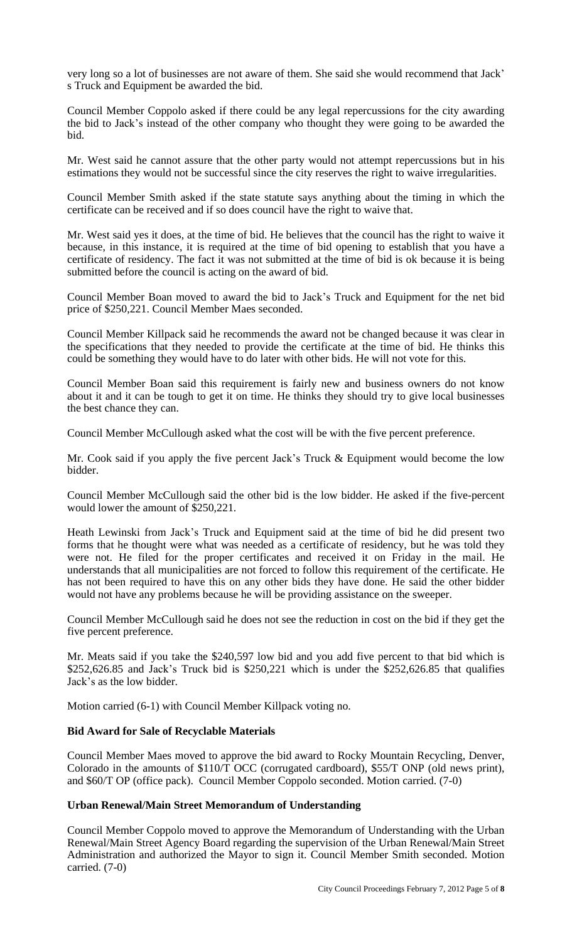very long so a lot of businesses are not aware of them. She said she would recommend that Jack' s Truck and Equipment be awarded the bid.

Council Member Coppolo asked if there could be any legal repercussions for the city awarding the bid to Jack's instead of the other company who thought they were going to be awarded the bid.

Mr. West said he cannot assure that the other party would not attempt repercussions but in his estimations they would not be successful since the city reserves the right to waive irregularities.

Council Member Smith asked if the state statute says anything about the timing in which the certificate can be received and if so does council have the right to waive that.

Mr. West said yes it does, at the time of bid. He believes that the council has the right to waive it because, in this instance, it is required at the time of bid opening to establish that you have a certificate of residency. The fact it was not submitted at the time of bid is ok because it is being submitted before the council is acting on the award of bid.

Council Member Boan moved to award the bid to Jack's Truck and Equipment for the net bid price of \$250,221. Council Member Maes seconded.

Council Member Killpack said he recommends the award not be changed because it was clear in the specifications that they needed to provide the certificate at the time of bid. He thinks this could be something they would have to do later with other bids. He will not vote for this.

Council Member Boan said this requirement is fairly new and business owners do not know about it and it can be tough to get it on time. He thinks they should try to give local businesses the best chance they can.

Council Member McCullough asked what the cost will be with the five percent preference.

Mr. Cook said if you apply the five percent Jack's Truck & Equipment would become the low bidder.

Council Member McCullough said the other bid is the low bidder. He asked if the five-percent would lower the amount of \$250,221.

Heath Lewinski from Jack's Truck and Equipment said at the time of bid he did present two forms that he thought were what was needed as a certificate of residency, but he was told they were not. He filed for the proper certificates and received it on Friday in the mail. He understands that all municipalities are not forced to follow this requirement of the certificate. He has not been required to have this on any other bids they have done. He said the other bidder would not have any problems because he will be providing assistance on the sweeper.

Council Member McCullough said he does not see the reduction in cost on the bid if they get the five percent preference.

Mr. Meats said if you take the \$240,597 low bid and you add five percent to that bid which is \$252,626.85 and Jack's Truck bid is \$250,221 which is under the \$252,626.85 that qualifies Jack's as the low bidder.

Motion carried (6-1) with Council Member Killpack voting no.

# **Bid Award for Sale of Recyclable Materials**

Council Member Maes moved to approve the bid award to Rocky Mountain Recycling, Denver, Colorado in the amounts of \$110/T OCC (corrugated cardboard), \$55/T ONP (old news print), and \$60/T OP (office pack). Council Member Coppolo seconded. Motion carried. (7-0)

# **Urban Renewal/Main Street Memorandum of Understanding**

Council Member Coppolo moved to approve the Memorandum of Understanding with the Urban Renewal/Main Street Agency Board regarding the supervision of the Urban Renewal/Main Street Administration and authorized the Mayor to sign it. Council Member Smith seconded. Motion carried. (7-0)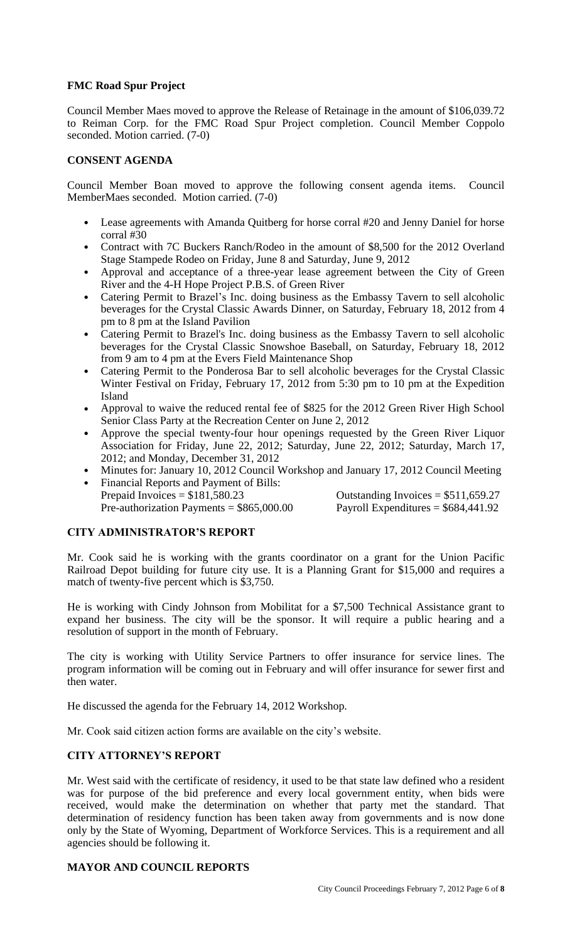## **FMC Road Spur Project**

Council Member Maes moved to approve the Release of Retainage in the amount of \$106,039.72 to Reiman Corp. for the FMC Road Spur Project completion. Council Member Coppolo seconded. Motion carried. (7-0)

# **CONSENT AGENDA**

Council Member Boan moved to approve the following consent agenda items. Council MemberMaes seconded. Motion carried. (7-0)

- Lease agreements with Amanda Quitberg for horse corral #20 and Jenny Daniel for horse corral #30
- Contract with 7C Buckers Ranch/Rodeo in the amount of \$8,500 for the 2012 Overland Stage Stampede Rodeo on Friday, June 8 and Saturday, June 9, 2012
- Approval and acceptance of a three-year lease agreement between the City of Green River and the 4-H Hope Project P.B.S. of Green River
- Catering Permit to Brazel's Inc. doing business as the Embassy Tavern to sell alcoholic beverages for the Crystal Classic Awards Dinner, on Saturday, February 18, 2012 from 4 pm to 8 pm at the Island Pavilion
- Catering Permit to Brazel's Inc. doing business as the Embassy Tavern to sell alcoholic beverages for the Crystal Classic Snowshoe Baseball, on Saturday, February 18, 2012 from 9 am to 4 pm at the Evers Field Maintenance Shop
- Catering Permit to the Ponderosa Bar to sell alcoholic beverages for the Crystal Classic Winter Festival on Friday, February 17, 2012 from 5:30 pm to 10 pm at the Expedition Island
- Approval to waive the reduced rental fee of \$825 for the 2012 Green River High School Senior Class Party at the Recreation Center on June 2, 2012
- Approve the special twenty-four hour openings requested by the Green River Liquor Association for Friday, June 22, 2012; Saturday, June 22, 2012; Saturday, March 17, 2012; and Monday, December 31, 2012
- Minutes for: January 10, 2012 Council Workshop and January 17, 2012 Council Meeting
- Financial Reports and Payment of Bills: Prepaid Invoices  $= $181,580.23$  Outstanding Invoices  $= $511,659.27$ Pre-authorization Payments =  $$865,000.00$  Payroll Expenditures =  $$684,441.92$

# **CITY ADMINISTRATOR'S REPORT**

Mr. Cook said he is working with the grants coordinator on a grant for the Union Pacific Railroad Depot building for future city use. It is a Planning Grant for \$15,000 and requires a match of twenty-five percent which is \$3,750.

He is working with Cindy Johnson from Mobilitat for a \$7,500 Technical Assistance grant to expand her business. The city will be the sponsor. It will require a public hearing and a resolution of support in the month of February.

The city is working with Utility Service Partners to offer insurance for service lines. The program information will be coming out in February and will offer insurance for sewer first and then water.

He discussed the agenda for the February 14, 2012 Workshop.

Mr. Cook said citizen action forms are available on the city's website.

# **CITY ATTORNEY'S REPORT**

Mr. West said with the certificate of residency, it used to be that state law defined who a resident was for purpose of the bid preference and every local government entity, when bids were received, would make the determination on whether that party met the standard. That determination of residency function has been taken away from governments and is now done only by the State of Wyoming, Department of Workforce Services. This is a requirement and all agencies should be following it.

## **MAYOR AND COUNCIL REPORTS**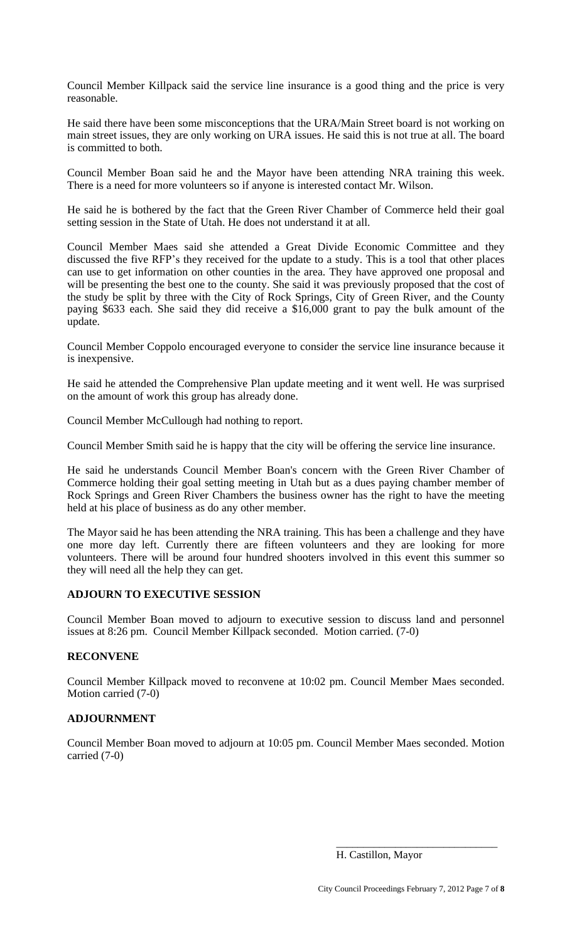Council Member Killpack said the service line insurance is a good thing and the price is very reasonable.

He said there have been some misconceptions that the URA/Main Street board is not working on main street issues, they are only working on URA issues. He said this is not true at all. The board is committed to both.

Council Member Boan said he and the Mayor have been attending NRA training this week. There is a need for more volunteers so if anyone is interested contact Mr. Wilson.

He said he is bothered by the fact that the Green River Chamber of Commerce held their goal setting session in the State of Utah. He does not understand it at all.

Council Member Maes said she attended a Great Divide Economic Committee and they discussed the five RFP's they received for the update to a study. This is a tool that other places can use to get information on other counties in the area. They have approved one proposal and will be presenting the best one to the county. She said it was previously proposed that the cost of the study be split by three with the City of Rock Springs, City of Green River, and the County paying \$633 each. She said they did receive a \$16,000 grant to pay the bulk amount of the update.

Council Member Coppolo encouraged everyone to consider the service line insurance because it is inexpensive.

He said he attended the Comprehensive Plan update meeting and it went well. He was surprised on the amount of work this group has already done.

Council Member McCullough had nothing to report.

Council Member Smith said he is happy that the city will be offering the service line insurance.

He said he understands Council Member Boan's concern with the Green River Chamber of Commerce holding their goal setting meeting in Utah but as a dues paying chamber member of Rock Springs and Green River Chambers the business owner has the right to have the meeting held at his place of business as do any other member.

The Mayor said he has been attending the NRA training. This has been a challenge and they have one more day left. Currently there are fifteen volunteers and they are looking for more volunteers. There will be around four hundred shooters involved in this event this summer so they will need all the help they can get.

### **ADJOURN TO EXECUTIVE SESSION**

Council Member Boan moved to adjourn to executive session to discuss land and personnel issues at 8:26 pm. Council Member Killpack seconded. Motion carried. (7-0)

# **RECONVENE**

Council Member Killpack moved to reconvene at 10:02 pm. Council Member Maes seconded. Motion carried (7-0)

# **ADJOURNMENT**

Council Member Boan moved to adjourn at 10:05 pm. Council Member Maes seconded. Motion carried (7-0)

\_\_\_\_\_\_\_\_\_\_\_\_\_\_\_\_\_\_\_\_\_\_\_\_\_\_\_\_\_\_